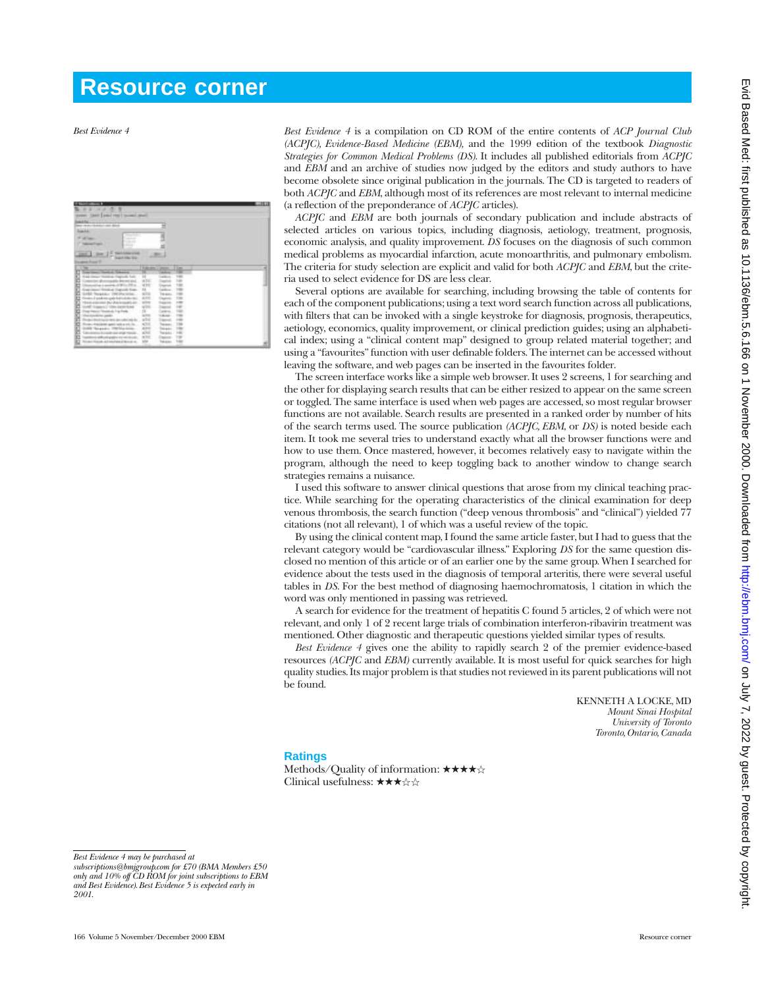## **Resource corner**

*Best Evidence 4*

| ×<br>save [ pap] may it                                                                         |                                 |                               |             |  |
|-------------------------------------------------------------------------------------------------|---------------------------------|-------------------------------|-------------|--|
|                                                                                                 |                                 |                               |             |  |
| ente.<br>$\overline{\phantom{a}}$<br>---                                                        |                                 |                               |             |  |
| <b>Canada</b>                                                                                   |                                 |                               |             |  |
| <b>Station</b>                                                                                  |                                 |                               |             |  |
|                                                                                                 |                                 |                               |             |  |
|                                                                                                 |                                 |                               |             |  |
| <b>Service</b>                                                                                  |                                 |                               |             |  |
|                                                                                                 | <b>National Advised</b>         |                               |             |  |
| $-11$                                                                                           |                                 |                               |             |  |
| <b>The Second</b>                                                                               | <b>The Asset</b>                |                               | m           |  |
|                                                                                                 |                                 | $\cdots$                      |             |  |
|                                                                                                 |                                 |                               |             |  |
|                                                                                                 | и<br>A Federal Sale             | 10.1                          |             |  |
|                                                                                                 | $4.7$ H<br>garty (Recret local) | <b>STATISTICS</b>             | top         |  |
| a i anisk i Winitia.                                                                            | <b>WENT</b>                     |                               |             |  |
|                                                                                                 | to a france free.<br>$\sim$     | $-111$                        | $+40$       |  |
| All Tergelays 1990 Physician<br>index of quadratic gain features and the                        | al to<br>433                    | <b>MARKS</b><br><b>SOFTEN</b> | ÷           |  |
| with a rise tried. But shall be counted at                                                      | $= 10$                          |                               |             |  |
|                                                                                                 |                                 | <b>MAIN</b>                   |             |  |
|                                                                                                 | who                             |                               |             |  |
| air à qu'il sait<br><b>JAG</b>                                                                  | й<br>42.76                      | $-0.001$<br>ALL CALL          |             |  |
|                                                                                                 | we an excellent to  what        | <b>MARKET</b>                 |             |  |
| From Attribute spectraches which                                                                |                                 | <b>Technology</b>             | $\sim$      |  |
|                                                                                                 | 434)                            |                               | 1000        |  |
| DATE To exist 1700 She bride                                                                    | ALC YE                          | Telephone                     | $+46.5$     |  |
| Sanagers business and house. ATX                                                                |                                 | heats.<br><b>MARKET</b>       |             |  |
| politican de station de projetive d'est médiciels contro-<br>Sinks House, ad anchor of house at | $-0.3 - 0.1$<br><b>HOME</b>     | <b>Canada</b>                 | 196<br>1.00 |  |

*Best Evidence 4* is a compilation on CD ROM of the entire contents of *ACP Journal Club (ACPJC), Evidence-Based Medicine (EBM),* and the 1999 edition of the textbook *Diagnostic Strategies for Common Medical Problems (DS)*. It includes all published editorials from *ACPJC* and *EBM* and an archive of studies now judged by the editors and study authors to have become obsolete since original publication in the journals. The CD is targeted to readers of both *ACPJC* and *EBM*, although most of its references are most relevant to internal medicine (a reflection of the preponderance of *ACPJC* articles).

*ACPJC* and *EBM* are both journals of secondary publication and include abstracts of selected articles on various topics, including diagnosis, aetiology, treatment, prognosis, economic analysis, and quality improvement. *DS* focuses on the diagnosis of such common medical problems as myocardial infarction, acute monoarthritis, and pulmonary embolism. The criteria for study selection are explicit and valid for both *ACPJC* and *EBM*, but the criteria used to select evidence for DS are less clear.

Several options are available for searching, including browsing the table of contents for each of the component publications; using a text word search function across all publications, with filters that can be invoked with a single keystroke for diagnosis, prognosis, therapeutics, aetiology, economics, quality improvement, or clinical prediction guides; using an alphabetical index; using a "clinical content map" designed to group related material together; and using a "favourites" function with user definable folders. The internet can be accessed without leaving the software, and web pages can be inserted in the favourites folder.

The screen interface works like a simple web browser. It uses 2 screens, 1 for searching and the other for displaying search results that can be either resized to appear on the same screen or toggled. The same interface is used when web pages are accessed, so most regular browser functions are not available. Search results are presented in a ranked order by number of hits of the search terms used. The source publication *(ACPJC, EBM*, or *DS)* is noted beside each item. It took me several tries to understand exactly what all the browser functions were and how to use them. Once mastered, however, it becomes relatively easy to navigate within the program, although the need to keep toggling back to another window to change search strategies remains a nuisance.

I used this software to answer clinical questions that arose from my clinical teaching practice. While searching for the operating characteristics of the clinical examination for deep venous thrombosis, the search function ("deep venous thrombosis" and "clinical") yielded 77 citations (not all relevant), 1 of which was a useful review of the topic.

By using the clinical content map, I found the same article faster, but I had to guess that the relevant category would be "cardiovascular illness." Exploring *DS* for the same question disclosed no mention of this article or of an earlier one by the same group. When I searched for evidence about the tests used in the diagnosis of temporal arteritis, there were several useful tables in *DS*. For the best method of diagnosing haemochromatosis, 1 citation in which the word was only mentioned in passing was retrieved.

A search for evidence for the treatment of hepatitis C found 5 articles, 2 of which were not relevant, and only 1 of 2 recent large trials of combination interferon-ribavirin treatment was mentioned. Other diagnostic and therapeutic questions yielded similar types of results.

*Best Evidence 4* gives one the ability to rapidly search 2 of the premier evidence-based resources *(ACPJC* and *EBM)* currently available. It is most useful for quick searches for high quality studies. Its major problem is that studies not reviewed in its parent publications will not be found.

> KENNETH A LOCKE, MD *Mount Sinai Hospital University of Toronto Toronto, Ontario, Canada*

## **Ratings**

Methods/Quality of information: ★★★★☆ Clinical usefulness:  $\star \star \star \star \otimes$ 

*Best Evidence 4 may be purchased at*

*subscriptions@bmjgroup.com for £70 (BMA Members £50 only and 10% off CD ROM for joint subscriptions to EBM and Best Evidence). Best Evidence 5 is expected early in 2001.*